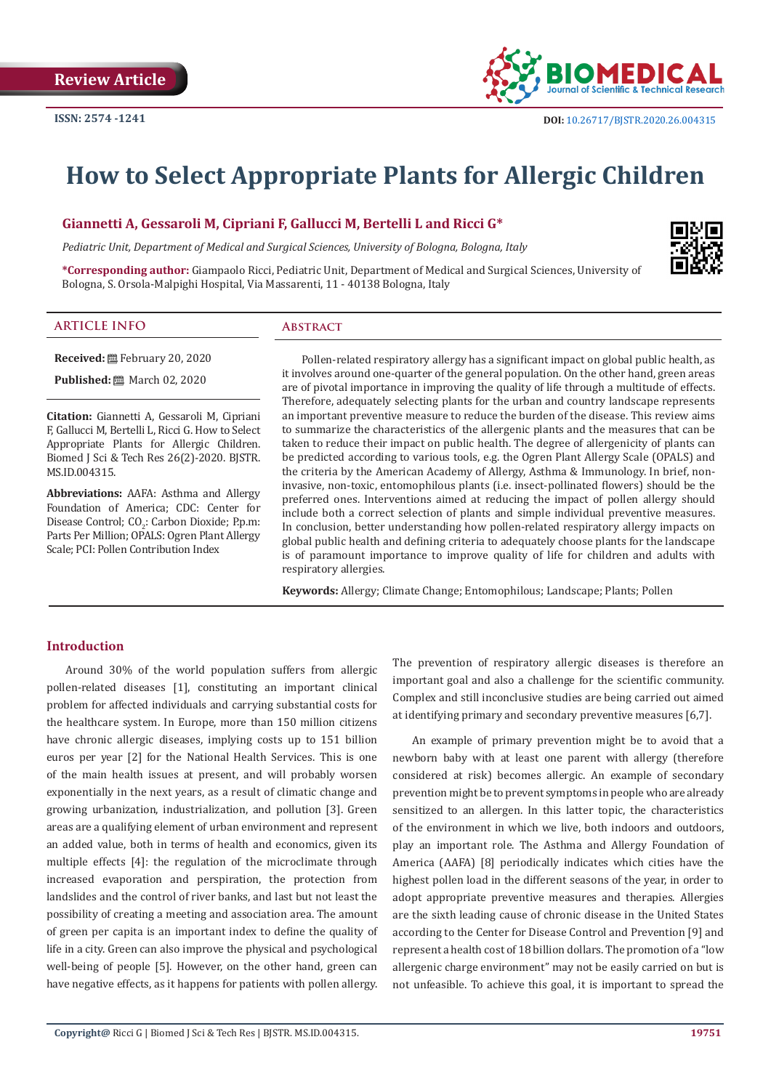

# **How to Select Appropriate Plants for Allergic Children**

**Giannetti A, Gessaroli M, Cipriani F, Gallucci M, Bertelli L and Ricci G\***

*Pediatric Unit, Department of Medical and Surgical Sciences, University of Bologna, Bologna, Italy*

**\*Corresponding author:** Giampaolo Ricci, Pediatric Unit, Department of Medical and Surgical Sciences, University of Bologna, S. Orsola-Malpighi Hospital, Via Massarenti, 11 - 40138 Bologna, Italy



#### **ARTICLE INFO Abstract**

**Received:** February 20, 2020

**Published:** 圖 March 02, 2020

**Citation:** Giannetti A, Gessaroli M, Cipriani F, Gallucci M, Bertelli L, Ricci G. How to Select Appropriate Plants for Allergic Children. Biomed J Sci & Tech Res 26(2)-2020. BJSTR. MS.ID.004315.

**Abbreviations:** AAFA: Asthma and Allergy Foundation of America; CDC: Center for Disease Control;  $CO_2$ : Carbon Dioxide; P.p.m: Parts Per Million; OPALS: Ogren Plant Allergy Scale; PCI: Pollen Contribution Index

Pollen-related respiratory allergy has a significant impact on global public health, as it involves around one-quarter of the general population. On the other hand, green areas are of pivotal importance in improving the quality of life through a multitude of effects. Therefore, adequately selecting plants for the urban and country landscape represents an important preventive measure to reduce the burden of the disease. This review aims to summarize the characteristics of the allergenic plants and the measures that can be taken to reduce their impact on public health. The degree of allergenicity of plants can be predicted according to various tools, e.g. the Ogren Plant Allergy Scale (OPALS) and the criteria by the American Academy of Allergy, Asthma & Immunology. In brief, noninvasive, non-toxic, entomophilous plants (i.e. insect-pollinated flowers) should be the preferred ones. Interventions aimed at reducing the impact of pollen allergy should include both a correct selection of plants and simple individual preventive measures. In conclusion, better understanding how pollen-related respiratory allergy impacts on global public health and defining criteria to adequately choose plants for the landscape is of paramount importance to improve quality of life for children and adults with respiratory allergies.

**Keywords:** Allergy; Climate Change; Entomophilous; Landscape; Plants; Pollen

# **Introduction**

Around 30% of the world population suffers from allergic pollen-related diseases [1], constituting an important clinical problem for affected individuals and carrying substantial costs for the healthcare system. In Europe, more than 150 million citizens have chronic allergic diseases, implying costs up to 151 billion euros per year [2] for the National Health Services. This is one of the main health issues at present, and will probably worsen exponentially in the next years, as a result of climatic change and growing urbanization, industrialization, and pollution [3]. Green areas are a qualifying element of urban environment and represent an added value, both in terms of health and economics, given its multiple effects [4]: the regulation of the microclimate through increased evaporation and perspiration, the protection from landslides and the control of river banks, and last but not least the possibility of creating a meeting and association area. The amount of green per capita is an important index to define the quality of life in a city. Green can also improve the physical and psychological well-being of people [5]. However, on the other hand, green can have negative effects, as it happens for patients with pollen allergy.

The prevention of respiratory allergic diseases is therefore an important goal and also a challenge for the scientific community. Complex and still inconclusive studies are being carried out aimed at identifying primary and secondary preventive measures [6,7].

An example of primary prevention might be to avoid that a newborn baby with at least one parent with allergy (therefore considered at risk) becomes allergic. An example of secondary prevention might be to prevent symptoms in people who are already sensitized to an allergen. In this latter topic, the characteristics of the environment in which we live, both indoors and outdoors, play an important role. The Asthma and Allergy Foundation of America (AAFA) [8] periodically indicates which cities have the highest pollen load in the different seasons of the year, in order to adopt appropriate preventive measures and therapies. Allergies are the sixth leading cause of chronic disease in the United States according to the Center for Disease Control and Prevention [9] and represent a health cost of 18 billion dollars. The promotion of a "low allergenic charge environment" may not be easily carried on but is not unfeasible. To achieve this goal, it is important to spread the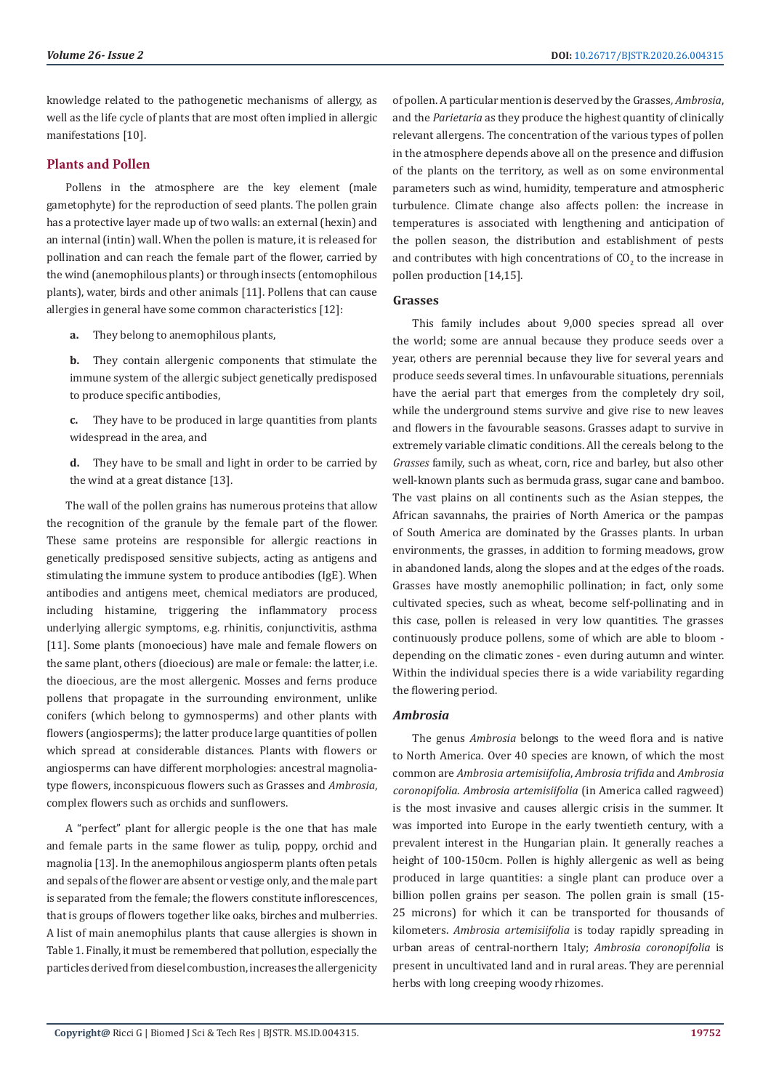knowledge related to the pathogenetic mechanisms of allergy, as well as the life cycle of plants that are most often implied in allergic manifestations [10].

# **Plants and Pollen**

Pollens in the atmosphere are the key element (male gametophyte) for the reproduction of seed plants. The pollen grain has a protective layer made up of two walls: an external (hexin) and an internal (intin) wall. When the pollen is mature, it is released for pollination and can reach the female part of the flower, carried by the wind (anemophilous plants) or through insects (entomophilous plants), water, birds and other animals [11]. Pollens that can cause allergies in general have some common characteristics [12]:

**a.** They belong to anemophilous plants,

**b.** They contain allergenic components that stimulate the immune system of the allergic subject genetically predisposed to produce specific antibodies,

**c.** They have to be produced in large quantities from plants widespread in the area, and

**d.** They have to be small and light in order to be carried by the wind at a great distance [13].

The wall of the pollen grains has numerous proteins that allow the recognition of the granule by the female part of the flower. These same proteins are responsible for allergic reactions in genetically predisposed sensitive subjects, acting as antigens and stimulating the immune system to produce antibodies (IgE). When antibodies and antigens meet, chemical mediators are produced, including histamine, triggering the inflammatory process underlying allergic symptoms, e.g. rhinitis, conjunctivitis, asthma [11]. Some plants (monoecious) have male and female flowers on the same plant, others (dioecious) are male or female: the latter, i.e. the dioecious, are the most allergenic. Mosses and ferns produce pollens that propagate in the surrounding environment, unlike conifers (which belong to gymnosperms) and other plants with flowers (angiosperms); the latter produce large quantities of pollen which spread at considerable distances. Plants with flowers or angiosperms can have different morphologies: ancestral magnoliatype flowers, inconspicuous flowers such as Grasses and *Ambrosia*, complex flowers such as orchids and sunflowers.

A "perfect" plant for allergic people is the one that has male and female parts in the same flower as tulip, poppy, orchid and magnolia [13]. In the anemophilous angiosperm plants often petals and sepals of the flower are absent or vestige only, and the male part is separated from the female; the flowers constitute inflorescences, that is groups of flowers together like oaks, birches and mulberries. A list of main anemophilus plants that cause allergies is shown in Table 1. Finally, it must be remembered that pollution, especially the particles derived from diesel combustion, increases the allergenicity

of pollen. A particular mention is deserved by the Grasses*, Ambrosia*, and the *Parietaria* as they produce the highest quantity of clinically relevant allergens. The concentration of the various types of pollen in the atmosphere depends above all on the presence and diffusion of the plants on the territory, as well as on some environmental parameters such as wind, humidity, temperature and atmospheric turbulence. Climate change also affects pollen: the increase in temperatures is associated with lengthening and anticipation of the pollen season, the distribution and establishment of pests and contributes with high concentrations of  $\mathfrak{CO}_2$  to the increase in pollen production [14,15].

#### **Grasses**

This family includes about 9,000 species spread all over the world; some are annual because they produce seeds over a year, others are perennial because they live for several years and produce seeds several times. In unfavourable situations, perennials have the aerial part that emerges from the completely dry soil, while the underground stems survive and give rise to new leaves and flowers in the favourable seasons. Grasses adapt to survive in extremely variable climatic conditions. All the cereals belong to the *Grasses* family, such as wheat, corn, rice and barley, but also other well-known plants such as bermuda grass, sugar cane and bamboo. The vast plains on all continents such as the Asian steppes, the African savannahs, the prairies of North America or the pampas of South America are dominated by the Grasses plants. In urban environments, the grasses, in addition to forming meadows, grow in abandoned lands, along the slopes and at the edges of the roads. Grasses have mostly anemophilic pollination; in fact, only some cultivated species, such as wheat, become self-pollinating and in this case, pollen is released in very low quantities. The grasses continuously produce pollens, some of which are able to bloom depending on the climatic zones - even during autumn and winter. Within the individual species there is a wide variability regarding the flowering period.

#### *Ambrosia*

The genus *Ambrosia* belongs to the weed flora and is native to North America. Over 40 species are known, of which the most common are *Ambrosia artemisiifolia*, *Ambrosia trifida* and *Ambrosia coronopifolia*. *Ambrosia artemisiifolia* (in America called ragweed) is the most invasive and causes allergic crisis in the summer. It was imported into Europe in the early twentieth century, with a prevalent interest in the Hungarian plain. It generally reaches a height of 100-150cm. Pollen is highly allergenic as well as being produced in large quantities: a single plant can produce over a billion pollen grains per season. The pollen grain is small (15- 25 microns) for which it can be transported for thousands of kilometers. *Ambrosia artemisiifolia* is today rapidly spreading in urban areas of central-northern Italy; *Ambrosia coronopifolia* is present in uncultivated land and in rural areas. They are perennial herbs with long creeping woody rhizomes.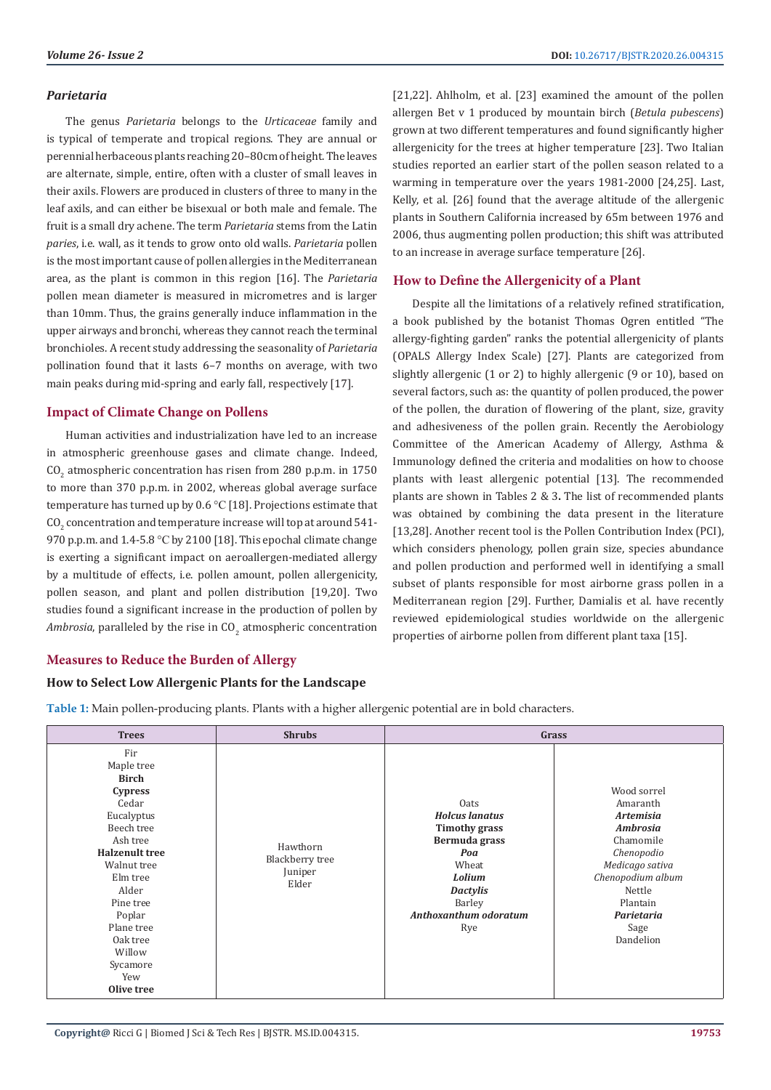### *Parietaria*

The genus *Parietaria* belongs to the *Urticaceae* family and is typical of temperate and tropical regions. They are annual or perennial herbaceous plants reaching 20–80cm of height. The leaves are alternate, simple, entire, often with a cluster of small leaves in their axils. Flowers are produced in clusters of three to many in the leaf axils, and can either be bisexual or both male and female. The fruit is a small dry achene. The term *Parietaria* stems from the Latin *paries*, i.e. wall, as it tends to grow onto old walls. *Parietaria* pollen is the most important cause of pollen allergies in the Mediterranean area, as the plant is common in this region [16]. The *Parietaria* pollen mean diameter is measured in micrometres and is larger than 10mm. Thus, the grains generally induce inflammation in the upper airways and bronchi, whereas they cannot reach the terminal bronchioles. A recent study addressing the seasonality of *Parietaria* pollination found that it lasts 6–7 months on average, with two main peaks during mid-spring and early fall, respectively [17].

# **Impact of Climate Change on Pollens**

Human activities and industrialization have led to an increase in atmospheric greenhouse gases and climate change. Indeed,  $CO_{2}$  atmospheric concentration has risen from 280 p.p.m. in  $1750$ to more than 370 p.p.m. in 2002, whereas global average surface temperature has turned up by 0.6 °C [18]. Projections estimate that  $\rm CO_{2}$  concentration and temperature increase will top at around 541-970 p.p.m. and 1.4-5.8 °C by 2100 [18]. This epochal climate change is exerting a significant impact on aeroallergen-mediated allergy by a multitude of effects, i.e. pollen amount, pollen allergenicity, pollen season, and plant and pollen distribution [19,20]. Two studies found a significant increase in the production of pollen by *Ambrosia,* paralleled by the rise in  $\mathrm{CO}_2$  atmospheric concentration [21,22]. Ahlholm, et al. [23] examined the amount of the pollen allergen Bet v 1 produced by mountain birch (*Betula pubescens*) grown at two different temperatures and found significantly higher allergenicity for the trees at higher temperature [23]. Two Italian studies reported an earlier start of the pollen season related to a warming in temperature over the years 1981-2000 [24,25]. Last, Kelly, et al. [26] found that the average altitude of the allergenic plants in Southern California increased by 65m between 1976 and 2006, thus augmenting pollen production; this shift was attributed to an increase in average surface temperature [26].

# **How to Define the Allergenicity of a Plant**

Despite all the limitations of a relatively refined stratification, a book published by the botanist Thomas Ogren entitled "The allergy-fighting garden" ranks the potential allergenicity of plants (OPALS Allergy Index Scale) [27]. Plants are categorized from slightly allergenic (1 or 2) to highly allergenic (9 or 10), based on several factors, such as: the quantity of pollen produced, the power of the pollen, the duration of flowering of the plant, size, gravity and adhesiveness of the pollen grain. Recently the Aerobiology Committee of the American Academy of Allergy, Asthma & Immunology defined the criteria and modalities on how to choose plants with least allergenic potential [13]. The recommended plants are shown in Tables 2 & 3**.** The list of recommended plants was obtained by combining the data present in the literature [13,28]. Another recent tool is the Pollen Contribution Index (PCI), which considers phenology, pollen grain size, species abundance and pollen production and performed well in identifying a small subset of plants responsible for most airborne grass pollen in a Mediterranean region [29]. Further, Damialis et al. have recently reviewed epidemiological studies worldwide on the allergenic properties of airborne pollen from different plant taxa [15].

# **Measures to Reduce the Burden of Allergy**

#### **How to Select Low Allergenic Plants for the Landscape**

**Table 1:** Main pollen-producing plants. Plants with a higher allergenic potential are in bold characters.

| <b>Trees</b>                                                                                                                                                                                                                                                  | <b>Shrubs</b>                                   | Grass                                                                                                                                                         |                                                                                                                                                                                            |  |  |  |
|---------------------------------------------------------------------------------------------------------------------------------------------------------------------------------------------------------------------------------------------------------------|-------------------------------------------------|---------------------------------------------------------------------------------------------------------------------------------------------------------------|--------------------------------------------------------------------------------------------------------------------------------------------------------------------------------------------|--|--|--|
| Fir<br>Maple tree<br><b>Birch</b><br><b>Cypress</b><br>Cedar<br>Eucalyptus<br>Beech tree<br>Ash tree<br><b>Halzenult tree</b><br>Walnut tree<br>Elm tree<br>Alder<br>Pine tree<br>Poplar<br>Plane tree<br>Oak tree<br>Willow<br>Sycamore<br>Yew<br>Olive tree | Hawthorn<br>Blackberry tree<br>Juniper<br>Elder | Oats<br><b>Holcus lanatus</b><br><b>Timothy grass</b><br>Bermuda grass<br>Poa<br>Wheat<br>Lolium<br><b>Dactylis</b><br>Barley<br>Anthoxanthum odoratum<br>Rye | Wood sorrel<br>Amaranth<br><b>Artemisia</b><br><b>Ambrosia</b><br>Chamomile<br>Chenopodio<br>Medicago sativa<br>Chenopodium album<br>Nettle<br>Plantain<br>Parietaria<br>Sage<br>Dandelion |  |  |  |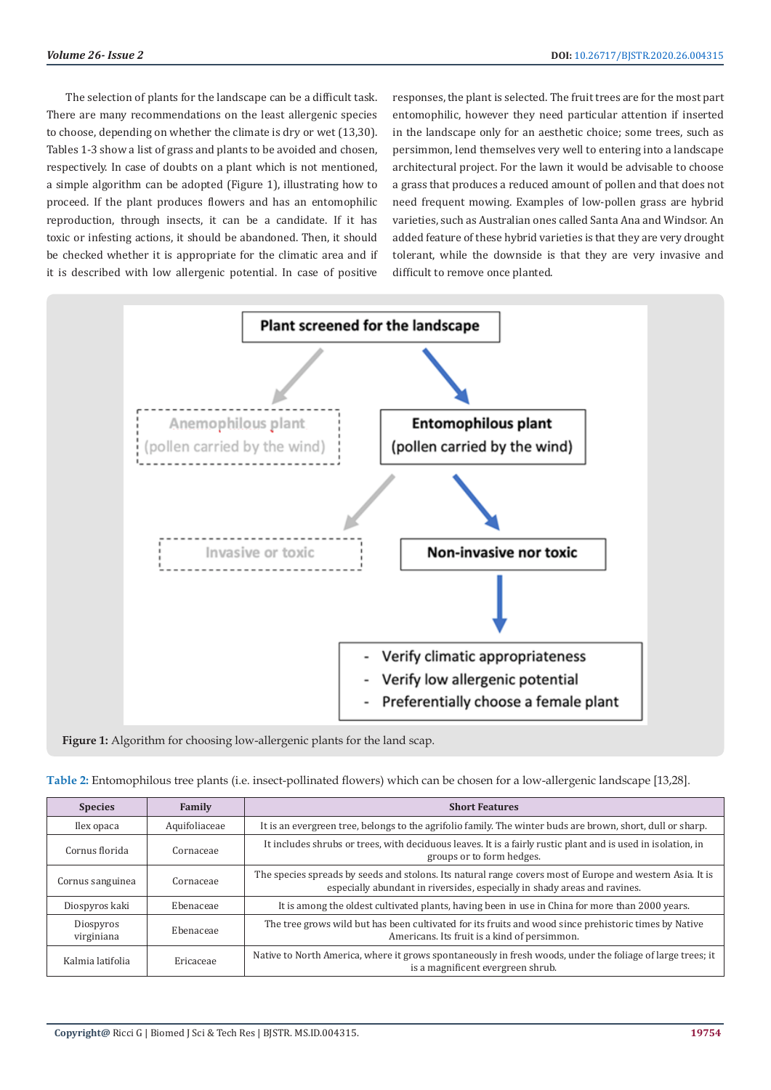The selection of plants for the landscape can be a difficult task. There are many recommendations on the least allergenic species to choose, depending on whether the climate is dry or wet (13,30). Tables 1-3 show a list of grass and plants to be avoided and chosen, respectively. In case of doubts on a plant which is not mentioned, a simple algorithm can be adopted (Figure 1), illustrating how to proceed. If the plant produces flowers and has an entomophilic reproduction, through insects, it can be a candidate. If it has toxic or infesting actions, it should be abandoned. Then, it should be checked whether it is appropriate for the climatic area and if it is described with low allergenic potential. In case of positive

responses, the plant is selected. The fruit trees are for the most part entomophilic, however they need particular attention if inserted in the landscape only for an aesthetic choice; some trees, such as persimmon, lend themselves very well to entering into a landscape architectural project. For the lawn it would be advisable to choose a grass that produces a reduced amount of pollen and that does not need frequent mowing. Examples of low-pollen grass are hybrid varieties, such as Australian ones called Santa Ana and Windsor. An added feature of these hybrid varieties is that they are very drought tolerant, while the downside is that they are very invasive and difficult to remove once planted.



#### **Figure 1:** Algorithm for choosing low-allergenic plants for the land scap.

| Table 2: Entomophilous tree plants (i.e. insect-pollinated flowers) which can be chosen for a low-allergenic landscape [13,28]. |  |  |  |
|---------------------------------------------------------------------------------------------------------------------------------|--|--|--|
|                                                                                                                                 |  |  |  |

| <b>Species</b>          | Family        | <b>Short Features</b>                                                                                                                                                                  |
|-------------------------|---------------|----------------------------------------------------------------------------------------------------------------------------------------------------------------------------------------|
| Ilex opaca              | Aquifoliaceae | It is an evergreen tree, belongs to the agrifolio family. The winter buds are brown, short, dull or sharp.                                                                             |
| Cornus florida          | Cornaceae     | It includes shrubs or trees, with deciduous leaves. It is a fairly rustic plant and is used in isolation, in<br>groups or to form hedges.                                              |
| Cornus sanguinea        | Cornaceae     | The species spreads by seeds and stolons. Its natural range covers most of Europe and western Asia. It is<br>especially abundant in riversides, especially in shady areas and ravines. |
| Diospyros kaki          | Ebenaceae     | It is among the oldest cultivated plants, having been in use in China for more than 2000 years.                                                                                        |
| Diospyros<br>virginiana | Ebenaceae     | The tree grows wild but has been cultivated for its fruits and wood since prehistoric times by Native<br>Americans. Its fruit is a kind of persimmon.                                  |
| Kalmia latifolia        | Ericaceae     | Native to North America, where it grows spontaneously in fresh woods, under the foliage of large trees; it<br>is a magnificent evergreen shrub.                                        |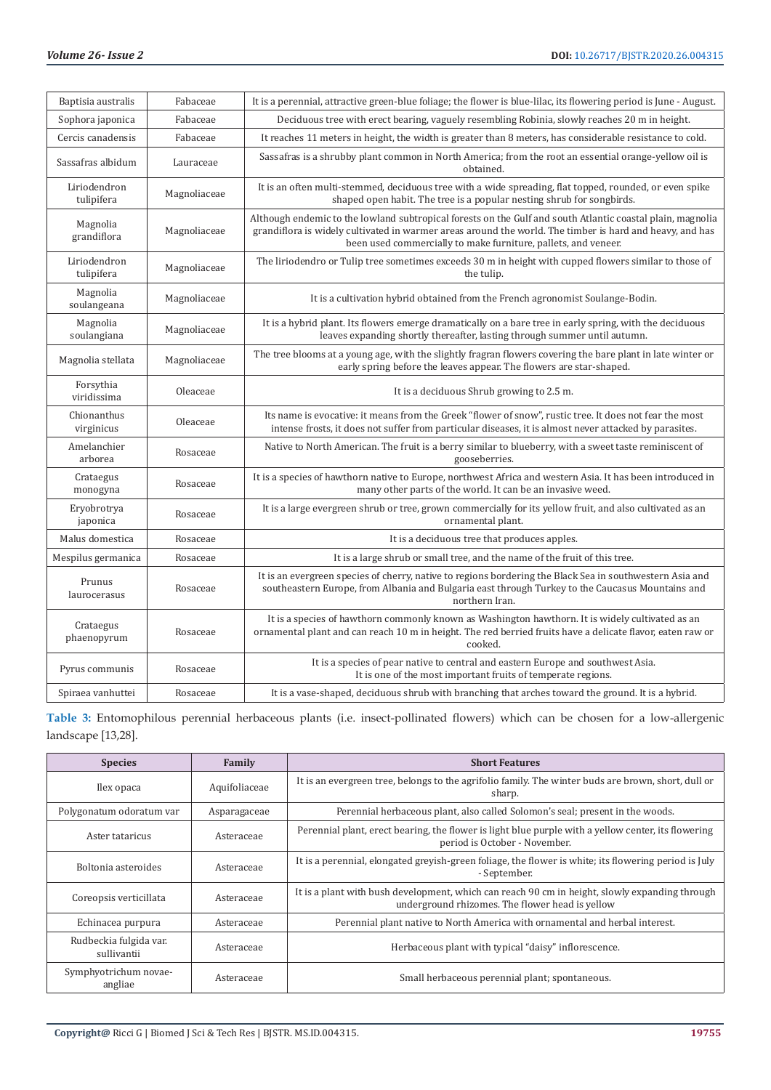| Baptisia australis         | Fabaceae     | It is a perennial, attractive green-blue foliage; the flower is blue-lilac, its flowering period is June - August.                                                                                                                                                                       |
|----------------------------|--------------|------------------------------------------------------------------------------------------------------------------------------------------------------------------------------------------------------------------------------------------------------------------------------------------|
| Sophora japonica           | Fabaceae     | Deciduous tree with erect bearing, vaguely resembling Robinia, slowly reaches 20 m in height.                                                                                                                                                                                            |
| Cercis canadensis          | Fabaceae     | It reaches 11 meters in height, the width is greater than 8 meters, has considerable resistance to cold.                                                                                                                                                                                 |
| Sassafras albidum          | Lauraceae    | Sassafras is a shrubby plant common in North America; from the root an essential orange-yellow oil is<br>obtained.                                                                                                                                                                       |
| Liriodendron<br>tulipifera | Magnoliaceae | It is an often multi-stemmed, deciduous tree with a wide spreading, flat topped, rounded, or even spike<br>shaped open habit. The tree is a popular nesting shrub for songbirds.                                                                                                         |
| Magnolia<br>grandiflora    | Magnoliaceae | Although endemic to the lowland subtropical forests on the Gulf and south Atlantic coastal plain, magnolia<br>grandiflora is widely cultivated in warmer areas around the world. The timber is hard and heavy, and has<br>been used commercially to make furniture, pallets, and veneer. |
| Liriodendron<br>tulipifera | Magnoliaceae | The liriodendro or Tulip tree sometimes exceeds 30 m in height with cupped flowers similar to those of<br>the tulip.                                                                                                                                                                     |
| Magnolia<br>soulangeana    | Magnoliaceae | It is a cultivation hybrid obtained from the French agronomist Soulange-Bodin.                                                                                                                                                                                                           |
| Magnolia<br>soulangiana    | Magnoliaceae | It is a hybrid plant. Its flowers emerge dramatically on a bare tree in early spring, with the deciduous<br>leaves expanding shortly thereafter, lasting through summer until autumn.                                                                                                    |
| Magnolia stellata          | Magnoliaceae | The tree blooms at a young age, with the slightly fragran flowers covering the bare plant in late winter or<br>early spring before the leaves appear. The flowers are star-shaped.                                                                                                       |
| Forsythia<br>viridissima   | Oleaceae     | It is a deciduous Shrub growing to 2.5 m.                                                                                                                                                                                                                                                |
| Chionanthus<br>virginicus  | Oleaceae     | Its name is evocative: it means from the Greek "flower of snow", rustic tree. It does not fear the most<br>intense frosts, it does not suffer from particular diseases, it is almost never attacked by parasites.                                                                        |
| Amelanchier<br>arborea     | Rosaceae     | Native to North American. The fruit is a berry similar to blueberry, with a sweet taste reminiscent of<br>gooseberries.                                                                                                                                                                  |
| Crataegus<br>monogyna      | Rosaceae     | It is a species of hawthorn native to Europe, northwest Africa and western Asia. It has been introduced in<br>many other parts of the world. It can be an invasive weed.                                                                                                                 |
| Eryobrotrya<br>japonica    | Rosaceae     | It is a large evergreen shrub or tree, grown commercially for its yellow fruit, and also cultivated as an<br>ornamental plant.                                                                                                                                                           |
| Malus domestica            | Rosaceae     | It is a deciduous tree that produces apples.                                                                                                                                                                                                                                             |
| Mespilus germanica         | Rosaceae     | It is a large shrub or small tree, and the name of the fruit of this tree.                                                                                                                                                                                                               |
| Prunus<br>laurocerasus     | Rosaceae     | It is an evergreen species of cherry, native to regions bordering the Black Sea in southwestern Asia and<br>southeastern Europe, from Albania and Bulgaria east through Turkey to the Caucasus Mountains and<br>northern Iran.                                                           |
| Crataegus<br>phaenopyrum   | Rosaceae     | It is a species of hawthorn commonly known as Washington hawthorn. It is widely cultivated as an<br>ornamental plant and can reach 10 m in height. The red berried fruits have a delicate flavor, eaten raw or<br>cooked.                                                                |
| Pyrus communis             | Rosaceae     | It is a species of pear native to central and eastern Europe and southwest Asia.<br>It is one of the most important fruits of temperate regions.                                                                                                                                         |
| Spiraea vanhuttei          | Rosaceae     | It is a vase-shaped, deciduous shrub with branching that arches toward the ground. It is a hybrid.                                                                                                                                                                                       |

| Table 3: Entomophilous perennial herbaceous plants (i.e. insect-pollinated flowers) which can be chosen for a low-allergenic |  |  |  |  |  |  |  |
|------------------------------------------------------------------------------------------------------------------------------|--|--|--|--|--|--|--|
| landscape [13,28].                                                                                                           |  |  |  |  |  |  |  |

| <b>Species</b>                        | Family        | <b>Short Features</b>                                                                                                                             |
|---------------------------------------|---------------|---------------------------------------------------------------------------------------------------------------------------------------------------|
| Ilex opaca                            | Aquifoliaceae | It is an evergreen tree, belongs to the agrifolio family. The winter buds are brown, short, dull or<br>sharp.                                     |
| Polygonatum odoratum var              | Asparagaceae  | Perennial herbaceous plant, also called Solomon's seal; present in the woods.                                                                     |
| Aster tataricus                       | Asteraceae    | Perennial plant, erect bearing, the flower is light blue purple with a yellow center, its flowering<br>period is October - November.              |
| Boltonia asteroides                   | Asteraceae    | It is a perennial, elongated greyish-green foliage, the flower is white; its flowering period is July<br>- September.                             |
| Coreopsis verticillata                | Asteraceae    | It is a plant with bush development, which can reach 90 cm in height, slowly expanding through<br>underground rhizomes. The flower head is yellow |
| Echinacea purpura                     | Asteraceae    | Perennial plant native to North America with ornamental and herbal interest.                                                                      |
| Rudbeckia fulgida var.<br>sullivantii | Asteraceae    | Herbaceous plant with typical "daisy" inflorescence.                                                                                              |
| Symphyotrichum novae-<br>angliae      | Asteraceae    | Small herbaceous perennial plant; spontaneous.                                                                                                    |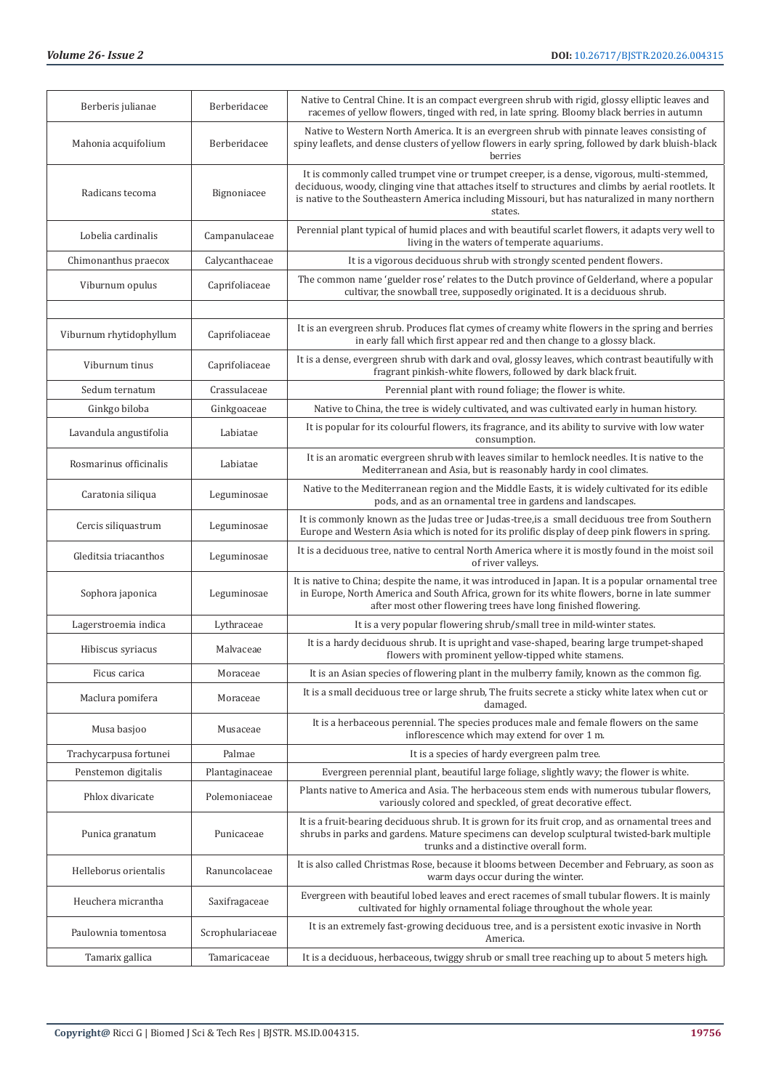| Berberis julianae       | Berberidacee     | Native to Central Chine. It is an compact evergreen shrub with rigid, glossy elliptic leaves and<br>racemes of yellow flowers, tinged with red, in late spring. Bloomy black berries in autumn                                                                                                                   |
|-------------------------|------------------|------------------------------------------------------------------------------------------------------------------------------------------------------------------------------------------------------------------------------------------------------------------------------------------------------------------|
| Mahonia acquifolium     | Berberidacee     | Native to Western North America. It is an evergreen shrub with pinnate leaves consisting of<br>spiny leaflets, and dense clusters of yellow flowers in early spring, followed by dark bluish-black<br>berries                                                                                                    |
| Radicans tecoma         | Bignoniacee      | It is commonly called trumpet vine or trumpet creeper, is a dense, vigorous, multi-stemmed,<br>deciduous, woody, clinging vine that attaches itself to structures and climbs by aerial rootlets. It<br>is native to the Southeastern America including Missouri, but has naturalized in many northern<br>states. |
| Lobelia cardinalis      | Campanulaceae    | Perennial plant typical of humid places and with beautiful scarlet flowers, it adapts very well to<br>living in the waters of temperate aquariums.                                                                                                                                                               |
| Chimonanthus praecox    | Calycanthaceae   | It is a vigorous deciduous shrub with strongly scented pendent flowers.                                                                                                                                                                                                                                          |
| Viburnum opulus         | Caprifoliaceae   | The common name 'guelder rose' relates to the Dutch province of Gelderland, where a popular<br>cultivar, the snowball tree, supposedly originated. It is a deciduous shrub.                                                                                                                                      |
|                         |                  |                                                                                                                                                                                                                                                                                                                  |
| Viburnum rhytidophyllum | Caprifoliaceae   | It is an evergreen shrub. Produces flat cymes of creamy white flowers in the spring and berries<br>in early fall which first appear red and then change to a glossy black.                                                                                                                                       |
| Viburnum tinus          | Caprifoliaceae   | It is a dense, evergreen shrub with dark and oval, glossy leaves, which contrast beautifully with<br>fragrant pinkish-white flowers, followed by dark black fruit.                                                                                                                                               |
| Sedum ternatum          | Crassulaceae     | Perennial plant with round foliage; the flower is white.                                                                                                                                                                                                                                                         |
| Ginkgo biloba           | Ginkgoaceae      | Native to China, the tree is widely cultivated, and was cultivated early in human history.                                                                                                                                                                                                                       |
| Lavandula angustifolia  | Labiatae         | It is popular for its colourful flowers, its fragrance, and its ability to survive with low water<br>consumption.                                                                                                                                                                                                |
| Rosmarinus officinalis  | Labiatae         | It is an aromatic evergreen shrub with leaves similar to hemlock needles. It is native to the<br>Mediterranean and Asia, but is reasonably hardy in cool climates.                                                                                                                                               |
| Caratonia siliqua       | Leguminosae      | Native to the Mediterranean region and the Middle Easts, it is widely cultivated for its edible<br>pods, and as an ornamental tree in gardens and landscapes.                                                                                                                                                    |
| Cercis siliquastrum     | Leguminosae      | It is commonly known as the Judas tree or Judas-tree, is a small deciduous tree from Southern<br>Europe and Western Asia which is noted for its prolific display of deep pink flowers in spring.                                                                                                                 |
| Gleditsia triacanthos   | Leguminosae      | It is a deciduous tree, native to central North America where it is mostly found in the moist soil<br>of river valleys.                                                                                                                                                                                          |
| Sophora japonica        | Leguminosae      | It is native to China; despite the name, it was introduced in Japan. It is a popular ornamental tree<br>in Europe, North America and South Africa, grown for its white flowers, borne in late summer<br>after most other flowering trees have long finished flowering.                                           |
| Lagerstroemia indica    | Lythraceae       | It is a very popular flowering shrub/small tree in mild-winter states.                                                                                                                                                                                                                                           |
| Hibiscus syriacus       | Malvaceae        | It is a hardy deciduous shrub. It is upright and vase-shaped, bearing large trumpet-shaped<br>flowers with prominent yellow-tipped white stamens.                                                                                                                                                                |
| Ficus carica            | Moraceae         | It is an Asian species of flowering plant in the mulberry family, known as the common fig.                                                                                                                                                                                                                       |
| Maclura pomifera        | Moraceae         | It is a small deciduous tree or large shrub, The fruits secrete a sticky white latex when cut or<br>damaged.                                                                                                                                                                                                     |
| Musa basjoo             | Musaceae         | It is a herbaceous perennial. The species produces male and female flowers on the same<br>inflorescence which may extend for over 1 m.                                                                                                                                                                           |
| Trachycarpusa fortunei  | Palmae           | It is a species of hardy evergreen palm tree.                                                                                                                                                                                                                                                                    |
| Penstemon digitalis     | Plantaginaceae   | Evergreen perennial plant, beautiful large foliage, slightly wavy; the flower is white.                                                                                                                                                                                                                          |
| Phlox divaricate        | Polemoniaceae    | Plants native to America and Asia. The herbaceous stem ends with numerous tubular flowers,<br>variously colored and speckled, of great decorative effect.                                                                                                                                                        |
| Punica granatum         | Punicaceae       | It is a fruit-bearing deciduous shrub. It is grown for its fruit crop, and as ornamental trees and<br>shrubs in parks and gardens. Mature specimens can develop sculptural twisted-bark multiple<br>trunks and a distinctive overall form.                                                                       |
| Helleborus orientalis   | Ranuncolaceae    | It is also called Christmas Rose, because it blooms between December and February, as soon as<br>warm days occur during the winter.                                                                                                                                                                              |
| Heuchera micrantha      | Saxifragaceae    | Evergreen with beautiful lobed leaves and erect racemes of small tubular flowers. It is mainly<br>cultivated for highly ornamental foliage throughout the whole year.                                                                                                                                            |
| Paulownia tomentosa     | Scrophulariaceae | It is an extremely fast-growing deciduous tree, and is a persistent exotic invasive in North<br>America.                                                                                                                                                                                                         |
| Tamarix gallica         | Tamaricaceae     | It is a deciduous, herbaceous, twiggy shrub or small tree reaching up to about 5 meters high.                                                                                                                                                                                                                    |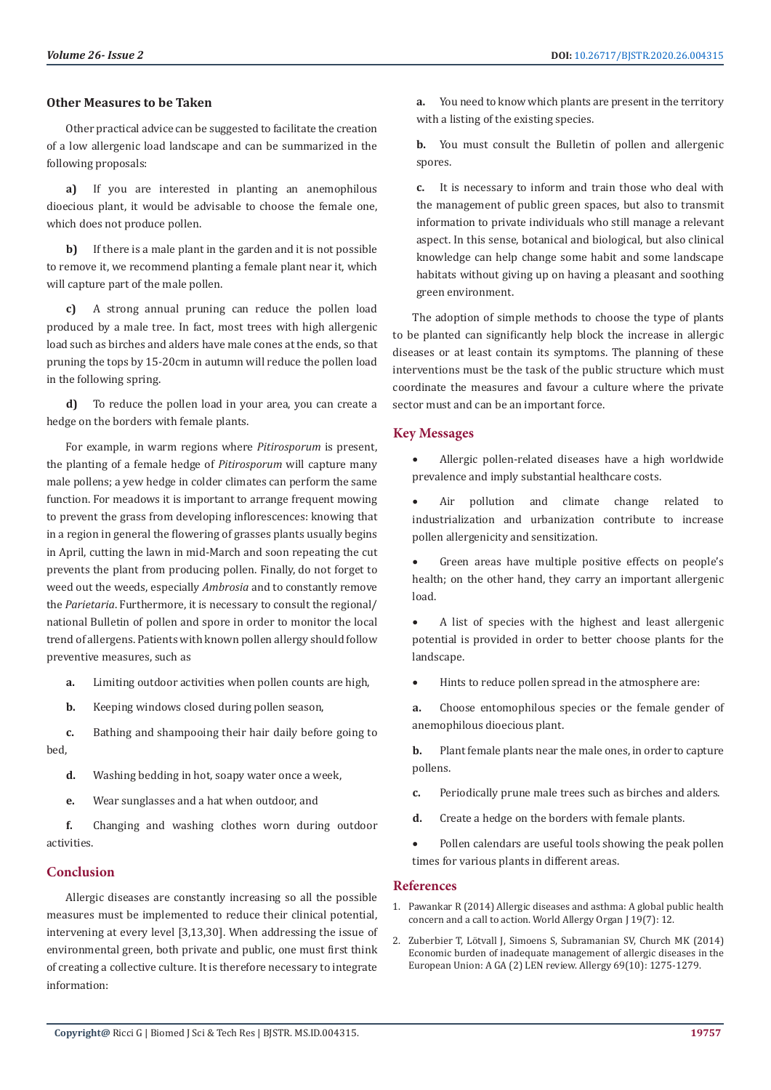#### **Other Measures to be Taken**

Other practical advice can be suggested to facilitate the creation of a low allergenic load landscape and can be summarized in the following proposals:

**a)** If you are interested in planting an anemophilous dioecious plant, it would be advisable to choose the female one, which does not produce pollen.

**b)** If there is a male plant in the garden and it is not possible to remove it, we recommend planting a female plant near it, which will capture part of the male pollen.

**c)** A strong annual pruning can reduce the pollen load produced by a male tree. In fact, most trees with high allergenic load such as birches and alders have male cones at the ends, so that pruning the tops by 15-20cm in autumn will reduce the pollen load in the following spring.

**d)** To reduce the pollen load in your area, you can create a hedge on the borders with female plants.

For example, in warm regions where *Pitirosporum* is present, the planting of a female hedge of *Pitirosporum* will capture many male pollens; a yew hedge in colder climates can perform the same function. For meadows it is important to arrange frequent mowing to prevent the grass from developing inflorescences: knowing that in a region in general the flowering of grasses plants usually begins in April, cutting the lawn in mid-March and soon repeating the cut prevents the plant from producing pollen. Finally, do not forget to weed out the weeds, especially *Ambrosia* and to constantly remove the *Parietaria*. Furthermore, it is necessary to consult the regional/ national Bulletin of pollen and spore in order to monitor the local trend of allergens. Patients with known pollen allergy should follow preventive measures, such as

- **a.** Limiting outdoor activities when pollen counts are high,
- **b.** Keeping windows closed during pollen season,

**c.** Bathing and shampooing their hair daily before going to bed,

- **d.** Washing bedding in hot, soapy water once a week,
- **e.** Wear sunglasses and a hat when outdoor, and

**f.** Changing and washing clothes worn during outdoor activities.

### **Conclusion**

Allergic diseases are constantly increasing so all the possible measures must be implemented to reduce their clinical potential, intervening at every level [3,13,30]. When addressing the issue of environmental green, both private and public, one must first think of creating a collective culture. It is therefore necessary to integrate information:

**a.** You need to know which plants are present in the territory with a listing of the existing species.

**b.** You must consult the Bulletin of pollen and allergenic spores.

**c.** It is necessary to inform and train those who deal with the management of public green spaces, but also to transmit information to private individuals who still manage a relevant aspect. In this sense, botanical and biological, but also clinical knowledge can help change some habit and some landscape habitats without giving up on having a pleasant and soothing green environment.

The adoption of simple methods to choose the type of plants to be planted can significantly help block the increase in allergic diseases or at least contain its symptoms. The planning of these interventions must be the task of the public structure which must coordinate the measures and favour a culture where the private sector must and can be an important force.

#### **Key Messages**

- Allergic pollen-related diseases have a high worldwide prevalence and imply substantial healthcare costs.
- Air pollution and climate change related to industrialization and urbanization contribute to increase pollen allergenicity and sensitization.

Green areas have multiple positive effects on people's health; on the other hand, they carry an important allergenic load.

• A list of species with the highest and least allergenic potential is provided in order to better choose plants for the landscape.

Hints to reduce pollen spread in the atmosphere are:

**a.** Choose entomophilous species or the female gender of anemophilous dioecious plant.

**b.** Plant female plants near the male ones, in order to capture pollens.

- **c.** Periodically prune male trees such as birches and alders.
- **d.** Create a hedge on the borders with female plants.
- Pollen calendars are useful tools showing the peak pollen times for various plants in different areas.

#### **References**

- 1. [Pawankar R \(2014\) Allergic diseases and asthma: A global public health](https://www.ncbi.nlm.nih.gov/pmc/articles/PMC4045871/) [concern and a call to action. World Allergy Organ J 19\(7\): 12.](https://www.ncbi.nlm.nih.gov/pmc/articles/PMC4045871/)
- 2. [Zuberbier T, Lötvall J, Simoens S, Subramanian SV, Church MK \(2014\)](https://www.ncbi.nlm.nih.gov/pubmed/24965386) [Economic burden of inadequate management of allergic diseases in the](https://www.ncbi.nlm.nih.gov/pubmed/24965386) [European Union: A GA \(2\) LEN review. Allergy 69\(10\): 1275-1279.](https://www.ncbi.nlm.nih.gov/pubmed/24965386)